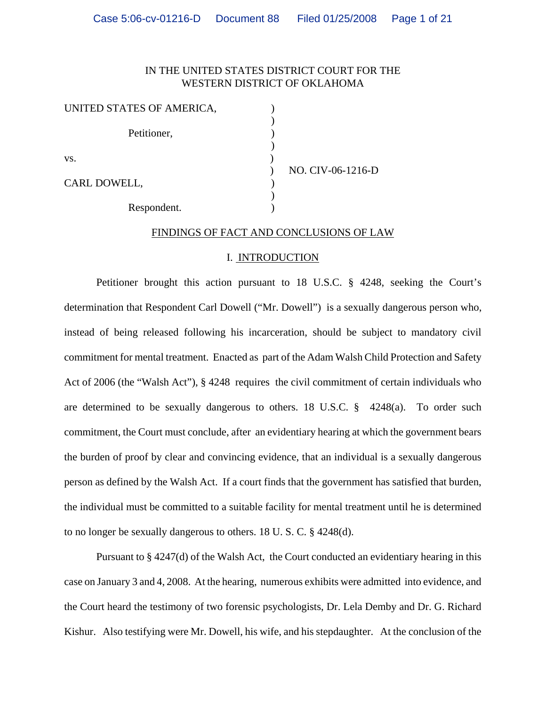## IN THE UNITED STATES DISTRICT COURT FOR THE WESTERN DISTRICT OF OKLAHOMA

| UNITED STATES OF AMERICA, |  |
|---------------------------|--|
| Petitioner,               |  |
| VS.                       |  |
| CARL DOWELL,              |  |
| Respondent.               |  |

) NO. CIV-06-1216-D

# FINDINGS OF FACT AND CONCLUSIONS OF LAW

#### I. INTRODUCTION

Petitioner brought this action pursuant to 18 U.S.C. § 4248, seeking the Court's determination that Respondent Carl Dowell ("Mr. Dowell") is a sexually dangerous person who, instead of being released following his incarceration, should be subject to mandatory civil commitment for mental treatment. Enacted as part of the Adam Walsh Child Protection and Safety Act of 2006 (the "Walsh Act"), § 4248 requires the civil commitment of certain individuals who are determined to be sexually dangerous to others. 18 U.S.C. § 4248(a). To order such commitment, the Court must conclude, after an evidentiary hearing at which the government bears the burden of proof by clear and convincing evidence, that an individual is a sexually dangerous person as defined by the Walsh Act. If a court finds that the government has satisfied that burden, the individual must be committed to a suitable facility for mental treatment until he is determined to no longer be sexually dangerous to others. 18 U. S. C. § 4248(d).

Pursuant to § 4247(d) of the Walsh Act, the Court conducted an evidentiary hearing in this case on January 3 and 4, 2008. At the hearing, numerous exhibits were admitted into evidence, and the Court heard the testimony of two forensic psychologists, Dr. Lela Demby and Dr. G. Richard Kishur. Also testifying were Mr. Dowell, his wife, and his stepdaughter. At the conclusion of the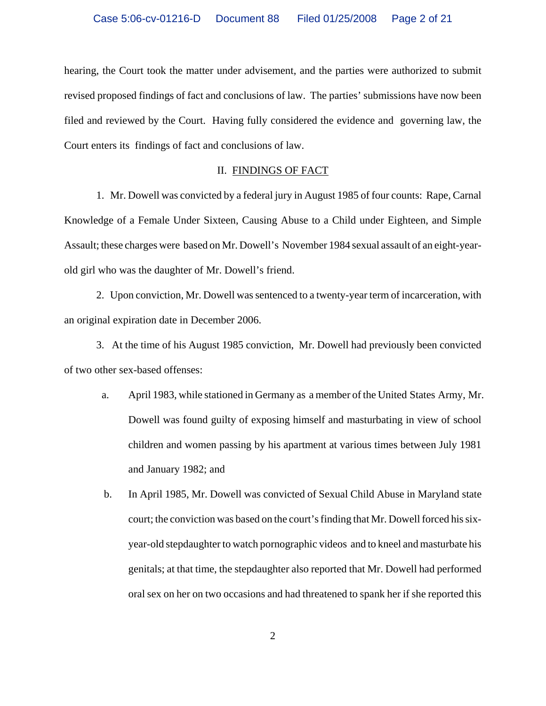hearing, the Court took the matter under advisement, and the parties were authorized to submit revised proposed findings of fact and conclusions of law. The parties' submissions have now been filed and reviewed by the Court. Having fully considered the evidence and governing law, the Court enters its findings of fact and conclusions of law.

### II. FINDINGS OF FACT

1. Mr. Dowell was convicted by a federal jury in August 1985 of four counts: Rape, Carnal Knowledge of a Female Under Sixteen, Causing Abuse to a Child under Eighteen, and Simple Assault; these charges were based on Mr. Dowell's November 1984 sexual assault of an eight-yearold girl who was the daughter of Mr. Dowell's friend.

2. Upon conviction, Mr. Dowell was sentenced to a twenty-year term of incarceration, with an original expiration date in December 2006.

3. At the time of his August 1985 conviction, Mr. Dowell had previously been convicted of two other sex-based offenses:

- a. April 1983, while stationed in Germany as a member of the United States Army, Mr. Dowell was found guilty of exposing himself and masturbating in view of school children and women passing by his apartment at various times between July 1981 and January 1982; and
- b. In April 1985, Mr. Dowell was convicted of Sexual Child Abuse in Maryland state court; the conviction was based on the court's finding that Mr. Dowell forced his sixyear-old stepdaughter to watch pornographic videos and to kneel and masturbate his genitals; at that time, the stepdaughter also reported that Mr. Dowell had performed oral sex on her on two occasions and had threatened to spank her if she reported this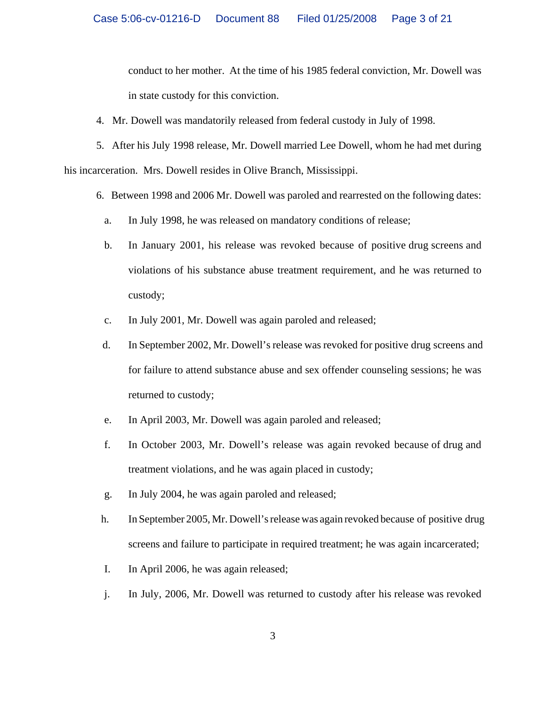conduct to her mother. At the time of his 1985 federal conviction, Mr. Dowell was in state custody for this conviction.

4. Mr. Dowell was mandatorily released from federal custody in July of 1998.

5. After his July 1998 release, Mr. Dowell married Lee Dowell, whom he had met during his incarceration. Mrs. Dowell resides in Olive Branch, Mississippi.

- 6. Between 1998 and 2006 Mr. Dowell was paroled and rearrested on the following dates:
	- a. In July 1998, he was released on mandatory conditions of release;
	- b. In January 2001, his release was revoked because of positive drug screens and violations of his substance abuse treatment requirement, and he was returned to custody;
	- c. In July 2001, Mr. Dowell was again paroled and released;
- d. In September 2002, Mr. Dowell's release was revoked for positive drug screens and for failure to attend substance abuse and sex offender counseling sessions; he was returned to custody;
- e. In April 2003, Mr. Dowell was again paroled and released;
- f. In October 2003, Mr. Dowell's release was again revoked because of drug and treatment violations, and he was again placed in custody;
- g. In July 2004, he was again paroled and released;
- h. In September 2005, Mr. Dowell's release was again revoked because of positive drug screens and failure to participate in required treatment; he was again incarcerated;
- I. In April 2006, he was again released;
- j. In July, 2006, Mr. Dowell was returned to custody after his release was revoked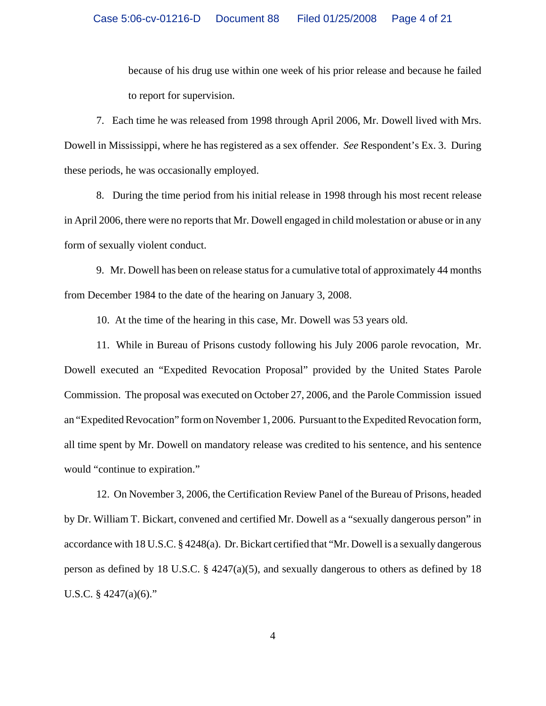because of his drug use within one week of his prior release and because he failed to report for supervision.

7. Each time he was released from 1998 through April 2006, Mr. Dowell lived with Mrs. Dowell in Mississippi, where he has registered as a sex offender. *See* Respondent's Ex. 3. During these periods, he was occasionally employed.

8. During the time period from his initial release in 1998 through his most recent release in April 2006, there were no reports that Mr. Dowell engaged in child molestation or abuse or in any form of sexually violent conduct.

9. Mr. Dowell has been on release status for a cumulative total of approximately 44 months from December 1984 to the date of the hearing on January 3, 2008.

10. At the time of the hearing in this case, Mr. Dowell was 53 years old.

11. While in Bureau of Prisons custody following his July 2006 parole revocation, Mr. Dowell executed an "Expedited Revocation Proposal" provided by the United States Parole Commission. The proposal was executed on October 27, 2006, and the Parole Commission issued an "Expedited Revocation" form on November 1, 2006. Pursuant to the Expedited Revocation form, all time spent by Mr. Dowell on mandatory release was credited to his sentence, and his sentence would "continue to expiration."

12. On November 3, 2006, the Certification Review Panel of the Bureau of Prisons, headed by Dr. William T. Bickart, convened and certified Mr. Dowell as a "sexually dangerous person" in accordance with 18 U.S.C. § 4248(a). Dr. Bickart certified that "Mr. Dowell is a sexually dangerous person as defined by 18 U.S.C. § 4247(a)(5), and sexually dangerous to others as defined by 18 U.S.C.  $§$  4247(a)(6)."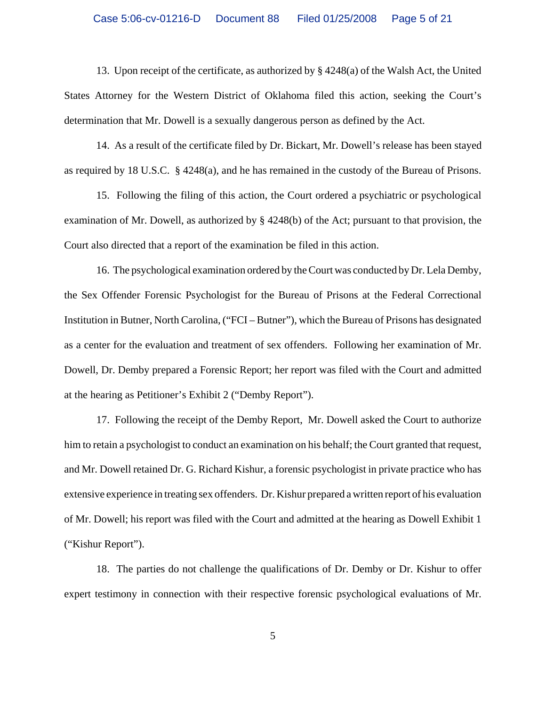13. Upon receipt of the certificate, as authorized by § 4248(a) of the Walsh Act, the United States Attorney for the Western District of Oklahoma filed this action, seeking the Court's determination that Mr. Dowell is a sexually dangerous person as defined by the Act.

 14. As a result of the certificate filed by Dr. Bickart, Mr. Dowell's release has been stayed as required by 18 U.S.C. § 4248(a), and he has remained in the custody of the Bureau of Prisons.

 15. Following the filing of this action, the Court ordered a psychiatric or psychological examination of Mr. Dowell, as authorized by § 4248(b) of the Act; pursuant to that provision, the Court also directed that a report of the examination be filed in this action.

16. The psychological examination ordered by the Court was conducted by Dr. Lela Demby, the Sex Offender Forensic Psychologist for the Bureau of Prisons at the Federal Correctional Institution in Butner, North Carolina, ("FCI – Butner"), which the Bureau of Prisons has designated as a center for the evaluation and treatment of sex offenders. Following her examination of Mr. Dowell, Dr. Demby prepared a Forensic Report; her report was filed with the Court and admitted at the hearing as Petitioner's Exhibit 2 ("Demby Report").

17. Following the receipt of the Demby Report, Mr. Dowell asked the Court to authorize him to retain a psychologist to conduct an examination on his behalf; the Court granted that request, and Mr. Dowell retained Dr. G. Richard Kishur, a forensic psychologist in private practice who has extensive experience in treating sex offenders. Dr. Kishur prepared a written report of his evaluation of Mr. Dowell; his report was filed with the Court and admitted at the hearing as Dowell Exhibit 1 ("Kishur Report").

18. The parties do not challenge the qualifications of Dr. Demby or Dr. Kishur to offer expert testimony in connection with their respective forensic psychological evaluations of Mr.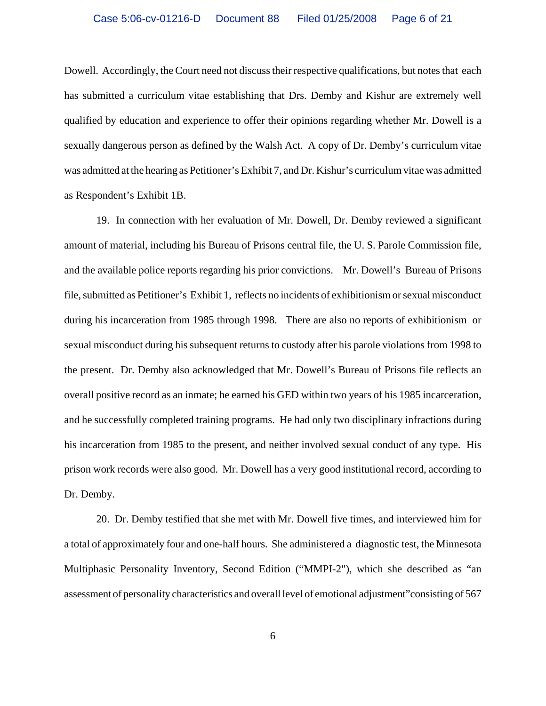Dowell. Accordingly, the Court need not discuss their respective qualifications, but notes that each has submitted a curriculum vitae establishing that Drs. Demby and Kishur are extremely well qualified by education and experience to offer their opinions regarding whether Mr. Dowell is a sexually dangerous person as defined by the Walsh Act. A copy of Dr. Demby's curriculum vitae was admitted at the hearing as Petitioner's Exhibit 7, and Dr. Kishur's curriculum vitae was admitted as Respondent's Exhibit 1B.

19. In connection with her evaluation of Mr. Dowell, Dr. Demby reviewed a significant amount of material, including his Bureau of Prisons central file, the U. S. Parole Commission file, and the available police reports regarding his prior convictions. Mr. Dowell's Bureau of Prisons file, submitted as Petitioner's Exhibit 1, reflects no incidents of exhibitionism or sexual misconduct during his incarceration from 1985 through 1998. There are also no reports of exhibitionism or sexual misconduct during his subsequent returns to custody after his parole violations from 1998 to the present. Dr. Demby also acknowledged that Mr. Dowell's Bureau of Prisons file reflects an overall positive record as an inmate; he earned his GED within two years of his 1985 incarceration, and he successfully completed training programs. He had only two disciplinary infractions during his incarceration from 1985 to the present, and neither involved sexual conduct of any type. His prison work records were also good. Mr. Dowell has a very good institutional record, according to Dr. Demby.

20. Dr. Demby testified that she met with Mr. Dowell five times, and interviewed him for a total of approximately four and one-half hours. She administered a diagnostic test, the Minnesota Multiphasic Personality Inventory, Second Edition ("MMPI-2"), which she described as "an assessment of personality characteristics and overall level of emotional adjustment"consisting of 567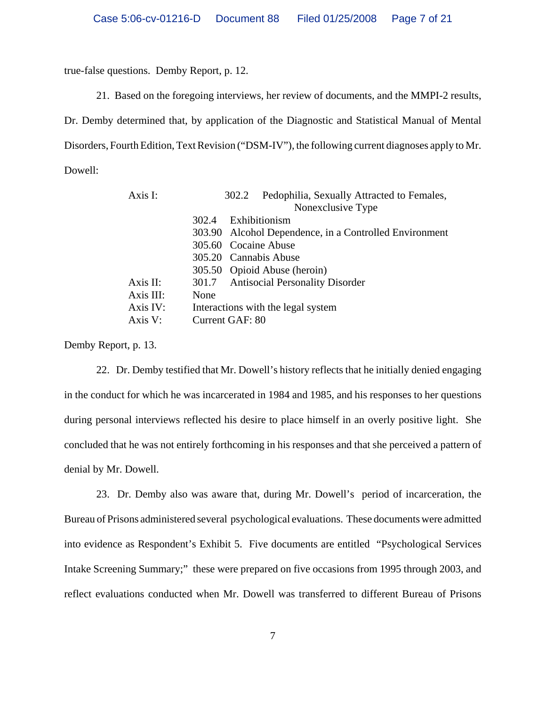true-false questions. Demby Report, p. 12.

21. Based on the foregoing interviews, her review of documents, and the MMPI-2 results,

Dr. Demby determined that, by application of the Diagnostic and Statistical Manual of Mental Disorders, Fourth Edition, Text Revision ("DSM-IV"), the following current diagnoses apply to Mr. Dowell:

| Axis I:   | Pedophilia, Sexually Attracted to Females,<br>302.2<br>Nonexclusive Type |
|-----------|--------------------------------------------------------------------------|
|           | Exhibitionism<br>302.4                                                   |
|           | 303.90 Alcohol Dependence, in a Controlled Environment                   |
|           | 305.60 Cocaine Abuse                                                     |
|           | 305.20 Cannabis Abuse                                                    |
|           | 305.50 Opioid Abuse (heroin)                                             |
| Axis II:  | 301.7 Antisocial Personality Disorder                                    |
| Axis III: | None                                                                     |
| Axis IV:  | Interactions with the legal system                                       |
| Axis V:   | Current GAF: 80                                                          |

Demby Report, p. 13.

22. Dr. Demby testified that Mr. Dowell's history reflects that he initially denied engaging in the conduct for which he was incarcerated in 1984 and 1985, and his responses to her questions during personal interviews reflected his desire to place himself in an overly positive light. She concluded that he was not entirely forthcoming in his responses and that she perceived a pattern of denial by Mr. Dowell.

23. Dr. Demby also was aware that, during Mr. Dowell's period of incarceration, the Bureau of Prisons administered several psychological evaluations. These documents were admitted into evidence as Respondent's Exhibit 5. Five documents are entitled "Psychological Services Intake Screening Summary;" these were prepared on five occasions from 1995 through 2003, and reflect evaluations conducted when Mr. Dowell was transferred to different Bureau of Prisons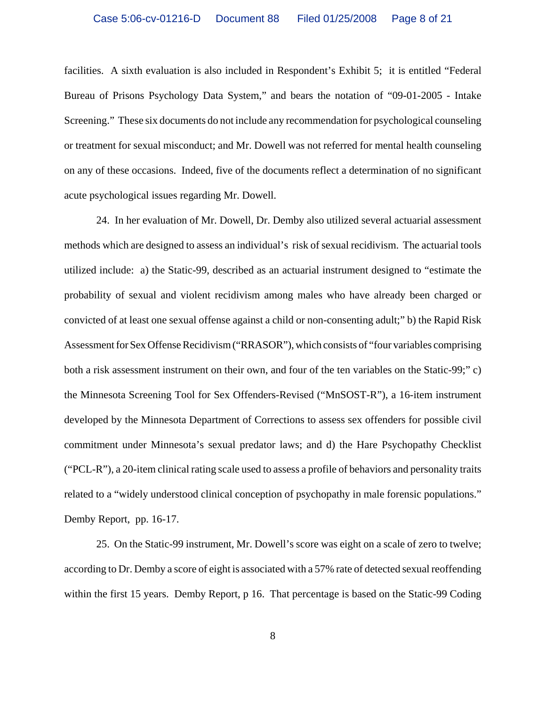facilities. A sixth evaluation is also included in Respondent's Exhibit 5; it is entitled "Federal Bureau of Prisons Psychology Data System," and bears the notation of "09-01-2005 - Intake Screening." These six documents do not include any recommendation for psychological counseling or treatment for sexual misconduct; and Mr. Dowell was not referred for mental health counseling on any of these occasions. Indeed, five of the documents reflect a determination of no significant acute psychological issues regarding Mr. Dowell.

24. In her evaluation of Mr. Dowell, Dr. Demby also utilized several actuarial assessment methods which are designed to assess an individual's risk of sexual recidivism. The actuarial tools utilized include: a) the Static-99, described as an actuarial instrument designed to "estimate the probability of sexual and violent recidivism among males who have already been charged or convicted of at least one sexual offense against a child or non-consenting adult;" b) the Rapid Risk Assessment for Sex Offense Recidivism ("RRASOR"), which consists of "four variables comprising both a risk assessment instrument on their own, and four of the ten variables on the Static-99;" c) the Minnesota Screening Tool for Sex Offenders-Revised ("MnSOST-R"), a 16-item instrument developed by the Minnesota Department of Corrections to assess sex offenders for possible civil commitment under Minnesota's sexual predator laws; and d) the Hare Psychopathy Checklist ("PCL-R"), a 20-item clinical rating scale used to assess a profile of behaviors and personality traits related to a "widely understood clinical conception of psychopathy in male forensic populations." Demby Report, pp. 16-17.

25. On the Static-99 instrument, Mr. Dowell's score was eight on a scale of zero to twelve; according to Dr. Demby a score of eight is associated with a 57% rate of detected sexual reoffending within the first 15 years. Demby Report, p 16. That percentage is based on the Static-99 Coding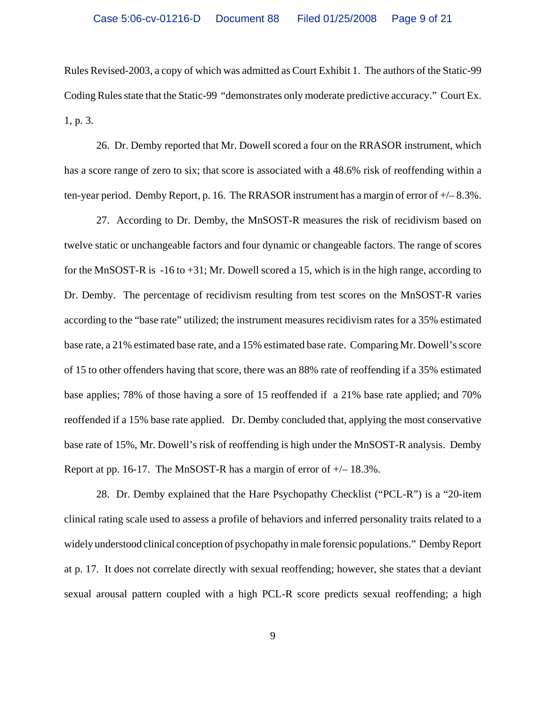Rules Revised-2003, a copy of which was admitted as Court Exhibit 1. The authors of the Static-99 Coding Rules state that the Static-99 "demonstrates only moderate predictive accuracy." Court Ex. 1, p. 3.

26. Dr. Demby reported that Mr. Dowell scored a four on the RRASOR instrument, which has a score range of zero to six; that score is associated with a 48.6% risk of reoffending within a ten-year period. Demby Report, p. 16. The RRASOR instrument has a margin of error of  $+/- 8.3\%$ .

27. According to Dr. Demby, the MnSOST-R measures the risk of recidivism based on twelve static or unchangeable factors and four dynamic or changeable factors. The range of scores for the MnSOST-R is -16 to +31; Mr. Dowell scored a 15, which is in the high range, according to Dr. Demby. The percentage of recidivism resulting from test scores on the MnSOST-R varies according to the "base rate" utilized; the instrument measures recidivism rates for a 35% estimated base rate, a 21% estimated base rate, and a 15% estimated base rate. Comparing Mr. Dowell's score of 15 to other offenders having that score, there was an 88% rate of reoffending if a 35% estimated base applies; 78% of those having a sore of 15 reoffended if a 21% base rate applied; and 70% reoffended if a 15% base rate applied. Dr. Demby concluded that, applying the most conservative base rate of 15%, Mr. Dowell's risk of reoffending is high under the MnSOST-R analysis. Demby Report at pp. 16-17. The MnSOST-R has a margin of error of  $\pm$  – 18.3%.

28. Dr. Demby explained that the Hare Psychopathy Checklist ("PCL-R") is a "20-item clinical rating scale used to assess a profile of behaviors and inferred personality traits related to a widely understood clinical conception of psychopathy in male forensic populations." Demby Report at p. 17. It does not correlate directly with sexual reoffending; however, she states that a deviant sexual arousal pattern coupled with a high PCL-R score predicts sexual reoffending; a high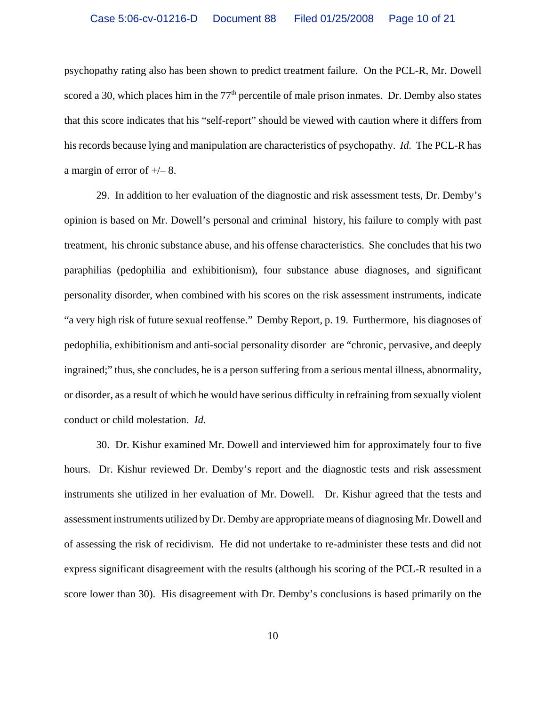psychopathy rating also has been shown to predict treatment failure. On the PCL-R, Mr. Dowell scored a 30, which places him in the  $77<sup>th</sup>$  percentile of male prison inmates. Dr. Demby also states that this score indicates that his "self-report" should be viewed with caution where it differs from his records because lying and manipulation are characteristics of psychopathy. *Id.* The PCL-R has a margin of error of +/– 8.

29. In addition to her evaluation of the diagnostic and risk assessment tests, Dr. Demby's opinion is based on Mr. Dowell's personal and criminal history, his failure to comply with past treatment, his chronic substance abuse, and his offense characteristics. She concludes that his two paraphilias (pedophilia and exhibitionism), four substance abuse diagnoses, and significant personality disorder, when combined with his scores on the risk assessment instruments, indicate "a very high risk of future sexual reoffense." Demby Report, p. 19. Furthermore, his diagnoses of pedophilia, exhibitionism and anti-social personality disorder are "chronic, pervasive, and deeply ingrained;" thus, she concludes, he is a person suffering from a serious mental illness, abnormality, or disorder, as a result of which he would have serious difficulty in refraining from sexually violent conduct or child molestation. *Id.* 

30. Dr. Kishur examined Mr. Dowell and interviewed him for approximately four to five hours. Dr. Kishur reviewed Dr. Demby's report and the diagnostic tests and risk assessment instruments she utilized in her evaluation of Mr. Dowell. Dr. Kishur agreed that the tests and assessment instruments utilized by Dr. Demby are appropriate means of diagnosing Mr. Dowell and of assessing the risk of recidivism. He did not undertake to re-administer these tests and did not express significant disagreement with the results (although his scoring of the PCL-R resulted in a score lower than 30). His disagreement with Dr. Demby's conclusions is based primarily on the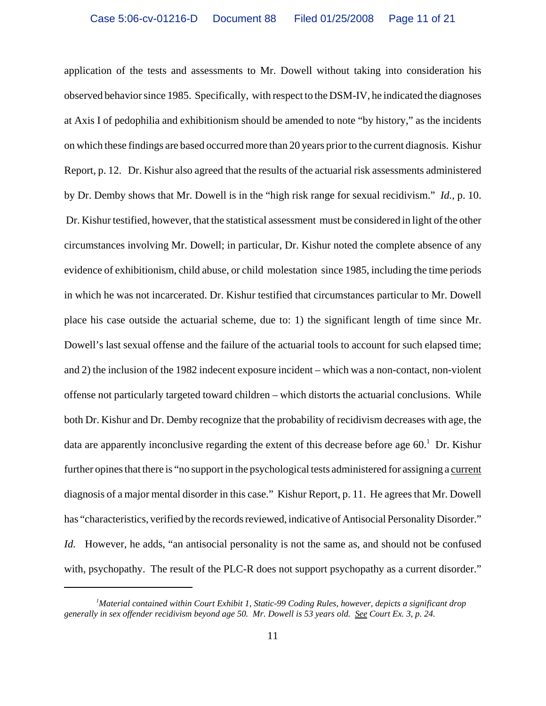application of the tests and assessments to Mr. Dowell without taking into consideration his observed behavior since 1985. Specifically, with respect to the DSM-IV, he indicated the diagnoses at Axis I of pedophilia and exhibitionism should be amended to note "by history," as the incidents on which these findings are based occurred more than 20 years prior to the current diagnosis. Kishur Report, p. 12. Dr. Kishur also agreed that the results of the actuarial risk assessments administered by Dr. Demby shows that Mr. Dowell is in the "high risk range for sexual recidivism." *Id.*, p. 10. Dr. Kishur testified, however, that the statistical assessment must be considered in light of the other circumstances involving Mr. Dowell; in particular, Dr. Kishur noted the complete absence of any evidence of exhibitionism, child abuse, or child molestation since 1985, including the time periods in which he was not incarcerated. Dr. Kishur testified that circumstances particular to Mr. Dowell place his case outside the actuarial scheme, due to: 1) the significant length of time since Mr. Dowell's last sexual offense and the failure of the actuarial tools to account for such elapsed time; and 2) the inclusion of the 1982 indecent exposure incident – which was a non-contact, non-violent offense not particularly targeted toward children – which distorts the actuarial conclusions. While both Dr. Kishur and Dr. Demby recognize that the probability of recidivism decreases with age, the data are apparently inconclusive regarding the extent of this decrease before age 60.<sup>1</sup> Dr. Kishur further opines that there is "no support in the psychological tests administered for assigning a current diagnosis of a major mental disorder in this case." Kishur Report, p. 11. He agrees that Mr. Dowell has "characteristics, verified by the records reviewed, indicative of Antisocial Personality Disorder." *Id.* However, he adds, "an antisocial personality is not the same as, and should not be confused with, psychopathy. The result of the PLC-R does not support psychopathy as a current disorder."

*<sup>1</sup> Material contained within Court Exhibit 1, Static-99 Coding Rules, however, depicts a significant drop generally in sex offender recidivism beyond age 50. Mr. Dowell is 53 years old. See Court Ex. 3, p. 24.*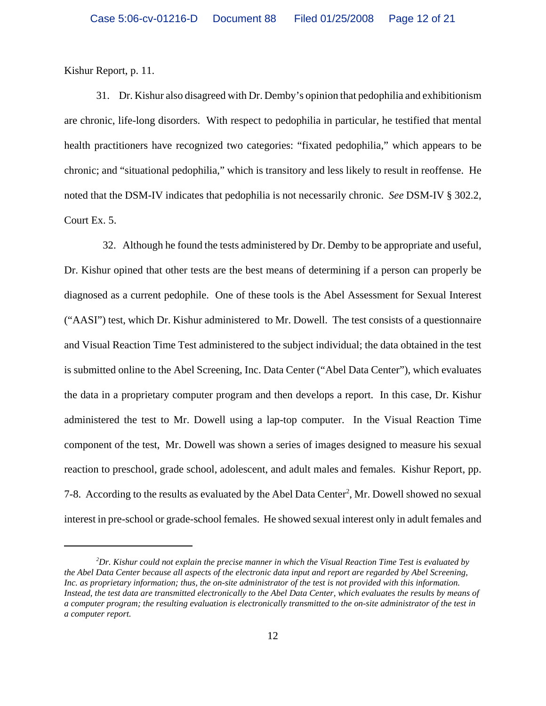Kishur Report, p. 11.

31. Dr. Kishur also disagreed with Dr. Demby's opinion that pedophilia and exhibitionism are chronic, life-long disorders. With respect to pedophilia in particular, he testified that mental health practitioners have recognized two categories: "fixated pedophilia," which appears to be chronic; and "situational pedophilia," which is transitory and less likely to result in reoffense. He noted that the DSM-IV indicates that pedophilia is not necessarily chronic. *See* DSM-IV § 302.2, Court Ex. 5.

 32. Although he found the tests administered by Dr. Demby to be appropriate and useful, Dr. Kishur opined that other tests are the best means of determining if a person can properly be diagnosed as a current pedophile. One of these tools is the Abel Assessment for Sexual Interest ("AASI") test, which Dr. Kishur administered to Mr. Dowell. The test consists of a questionnaire and Visual Reaction Time Test administered to the subject individual; the data obtained in the test is submitted online to the Abel Screening, Inc. Data Center ("Abel Data Center"), which evaluates the data in a proprietary computer program and then develops a report. In this case, Dr. Kishur administered the test to Mr. Dowell using a lap-top computer. In the Visual Reaction Time component of the test, Mr. Dowell was shown a series of images designed to measure his sexual reaction to preschool, grade school, adolescent, and adult males and females. Kishur Report, pp. 7-8. According to the results as evaluated by the Abel Data Center<sup>2</sup>, Mr. Dowell showed no sexual interest in pre-school or grade-school females. He showed sexual interest only in adult females and

*<sup>2</sup> Dr. Kishur could not explain the precise manner in which the Visual Reaction Time Test is evaluated by the Abel Data Center because all aspects of the electronic data input and report are regarded by Abel Screening, Inc. as proprietary information; thus, the on-site administrator of the test is not provided with this information. Instead, the test data are transmitted electronically to the Abel Data Center, which evaluates the results by means of a computer program; the resulting evaluation is electronically transmitted to the on-site administrator of the test in a computer report.*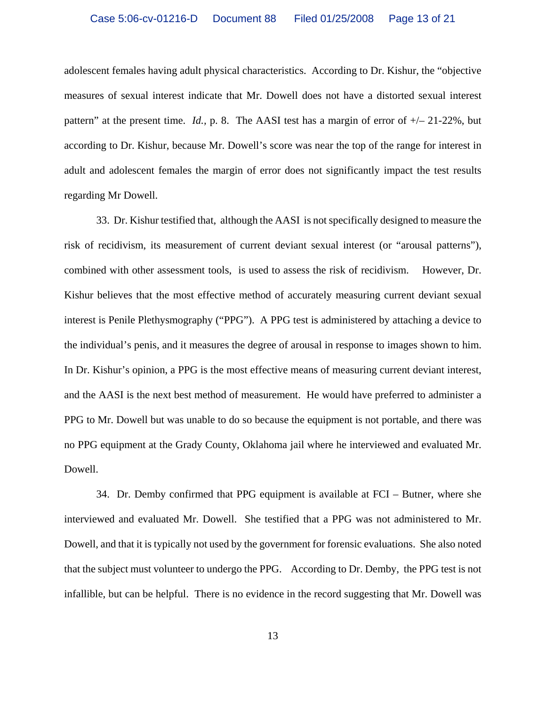adolescent females having adult physical characteristics. According to Dr. Kishur, the "objective measures of sexual interest indicate that Mr. Dowell does not have a distorted sexual interest pattern" at the present time. *Id.,* p. 8. The AASI test has a margin of error of +/– 21-22%, but according to Dr. Kishur, because Mr. Dowell's score was near the top of the range for interest in adult and adolescent females the margin of error does not significantly impact the test results regarding Mr Dowell.

33. Dr. Kishur testified that, although the AASI is not specifically designed to measure the risk of recidivism, its measurement of current deviant sexual interest (or "arousal patterns"), combined with other assessment tools, is used to assess the risk of recidivism. However, Dr. Kishur believes that the most effective method of accurately measuring current deviant sexual interest is Penile Plethysmography ("PPG"). A PPG test is administered by attaching a device to the individual's penis, and it measures the degree of arousal in response to images shown to him. In Dr. Kishur's opinion, a PPG is the most effective means of measuring current deviant interest, and the AASI is the next best method of measurement. He would have preferred to administer a PPG to Mr. Dowell but was unable to do so because the equipment is not portable, and there was no PPG equipment at the Grady County, Oklahoma jail where he interviewed and evaluated Mr. Dowell.

34. Dr. Demby confirmed that PPG equipment is available at FCI – Butner, where she interviewed and evaluated Mr. Dowell. She testified that a PPG was not administered to Mr. Dowell, and that it is typically not used by the government for forensic evaluations. She also noted that the subject must volunteer to undergo the PPG. According to Dr. Demby, the PPG test is not infallible, but can be helpful. There is no evidence in the record suggesting that Mr. Dowell was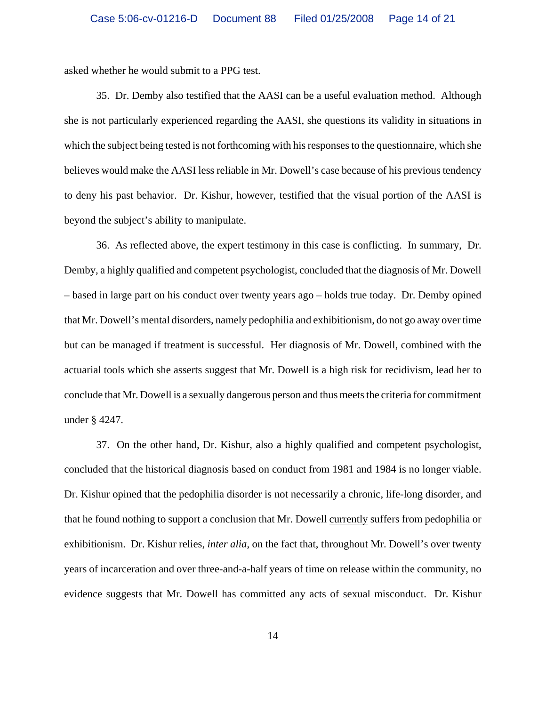asked whether he would submit to a PPG test.

35. Dr. Demby also testified that the AASI can be a useful evaluation method. Although she is not particularly experienced regarding the AASI, she questions its validity in situations in which the subject being tested is not forthcoming with his responses to the questionnaire, which she believes would make the AASI less reliable in Mr. Dowell's case because of his previous tendency to deny his past behavior. Dr. Kishur, however, testified that the visual portion of the AASI is beyond the subject's ability to manipulate.

36. As reflected above, the expert testimony in this case is conflicting. In summary, Dr. Demby, a highly qualified and competent psychologist, concluded that the diagnosis of Mr. Dowell – based in large part on his conduct over twenty years ago – holds true today. Dr. Demby opined that Mr. Dowell's mental disorders, namely pedophilia and exhibitionism, do not go away over time but can be managed if treatment is successful. Her diagnosis of Mr. Dowell, combined with the actuarial tools which she asserts suggest that Mr. Dowell is a high risk for recidivism, lead her to conclude that Mr. Dowell is a sexually dangerous person and thus meets the criteria for commitment under § 4247.

37. On the other hand, Dr. Kishur, also a highly qualified and competent psychologist, concluded that the historical diagnosis based on conduct from 1981 and 1984 is no longer viable. Dr. Kishur opined that the pedophilia disorder is not necessarily a chronic, life-long disorder, and that he found nothing to support a conclusion that Mr. Dowell currently suffers from pedophilia or exhibitionism. Dr. Kishur relies, *inter alia*, on the fact that, throughout Mr. Dowell's over twenty years of incarceration and over three-and-a-half years of time on release within the community, no evidence suggests that Mr. Dowell has committed any acts of sexual misconduct. Dr. Kishur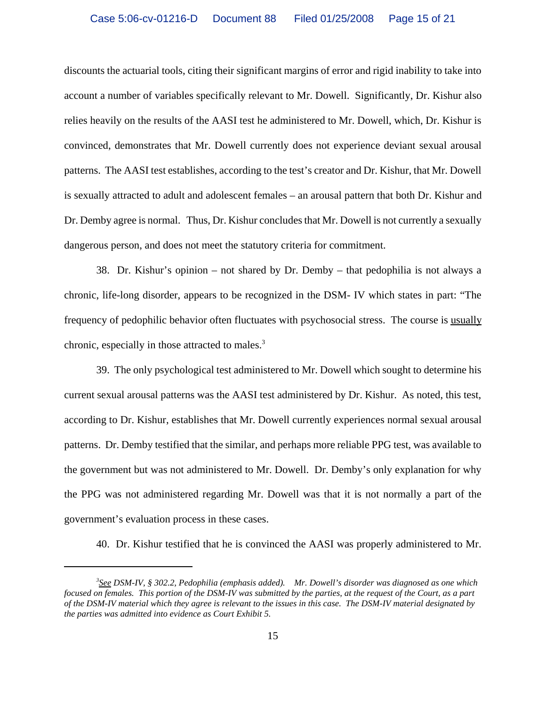discounts the actuarial tools, citing their significant margins of error and rigid inability to take into account a number of variables specifically relevant to Mr. Dowell. Significantly, Dr. Kishur also relies heavily on the results of the AASI test he administered to Mr. Dowell, which, Dr. Kishur is convinced, demonstrates that Mr. Dowell currently does not experience deviant sexual arousal patterns. The AASI test establishes, according to the test's creator and Dr. Kishur, that Mr. Dowell is sexually attracted to adult and adolescent females – an arousal pattern that both Dr. Kishur and Dr. Demby agree is normal. Thus, Dr. Kishur concludes that Mr. Dowell is not currently a sexually dangerous person, and does not meet the statutory criteria for commitment.

38. Dr. Kishur's opinion – not shared by Dr. Demby – that pedophilia is not always a chronic, life-long disorder, appears to be recognized in the DSM- IV which states in part: "The frequency of pedophilic behavior often fluctuates with psychosocial stress. The course is usually chronic, especially in those attracted to males.<sup>3</sup>

39. The only psychological test administered to Mr. Dowell which sought to determine his current sexual arousal patterns was the AASI test administered by Dr. Kishur. As noted, this test, according to Dr. Kishur, establishes that Mr. Dowell currently experiences normal sexual arousal patterns. Dr. Demby testified that the similar, and perhaps more reliable PPG test, was available to the government but was not administered to Mr. Dowell. Dr. Demby's only explanation for why the PPG was not administered regarding Mr. Dowell was that it is not normally a part of the government's evaluation process in these cases.

40. Dr. Kishur testified that he is convinced the AASI was properly administered to Mr.

*<sup>3</sup> See DSM-IV, § 302.2, Pedophilia (emphasis added). Mr. Dowell's disorder was diagnosed as one which focused on females. This portion of the DSM-IV was submitted by the parties, at the request of the Court, as a part of the DSM-IV material which they agree is relevant to the issues in this case. The DSM-IV material designated by the parties was admitted into evidence as Court Exhibit 5.*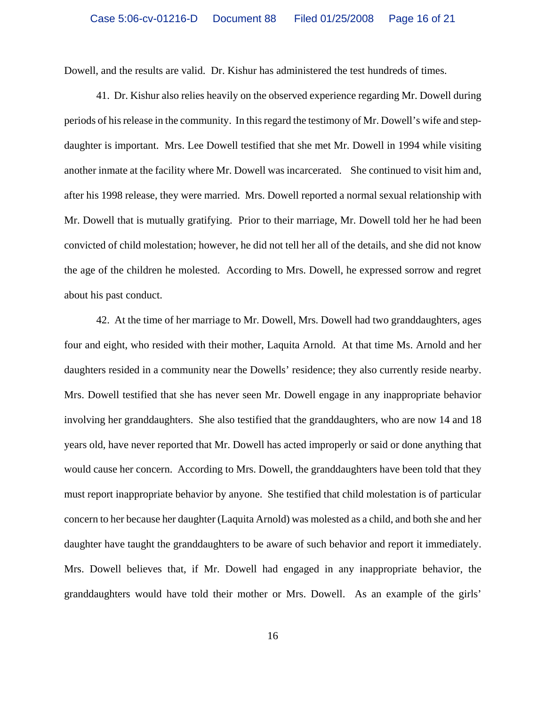Dowell, and the results are valid. Dr. Kishur has administered the test hundreds of times.

41. Dr. Kishur also relies heavily on the observed experience regarding Mr. Dowell during periods of his release in the community. In this regard the testimony of Mr. Dowell's wife and stepdaughter is important. Mrs. Lee Dowell testified that she met Mr. Dowell in 1994 while visiting another inmate at the facility where Mr. Dowell was incarcerated. She continued to visit him and, after his 1998 release, they were married. Mrs. Dowell reported a normal sexual relationship with Mr. Dowell that is mutually gratifying. Prior to their marriage, Mr. Dowell told her he had been convicted of child molestation; however, he did not tell her all of the details, and she did not know the age of the children he molested. According to Mrs. Dowell, he expressed sorrow and regret about his past conduct.

42. At the time of her marriage to Mr. Dowell, Mrs. Dowell had two granddaughters, ages four and eight, who resided with their mother, Laquita Arnold. At that time Ms. Arnold and her daughters resided in a community near the Dowells' residence; they also currently reside nearby. Mrs. Dowell testified that she has never seen Mr. Dowell engage in any inappropriate behavior involving her granddaughters. She also testified that the granddaughters, who are now 14 and 18 years old, have never reported that Mr. Dowell has acted improperly or said or done anything that would cause her concern. According to Mrs. Dowell, the granddaughters have been told that they must report inappropriate behavior by anyone. She testified that child molestation is of particular concern to her because her daughter (Laquita Arnold) was molested as a child, and both she and her daughter have taught the granddaughters to be aware of such behavior and report it immediately. Mrs. Dowell believes that, if Mr. Dowell had engaged in any inappropriate behavior, the granddaughters would have told their mother or Mrs. Dowell. As an example of the girls'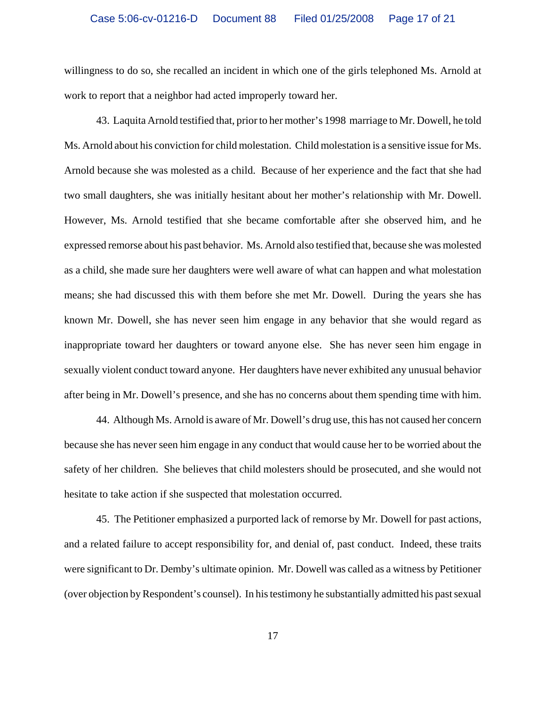willingness to do so, she recalled an incident in which one of the girls telephoned Ms. Arnold at work to report that a neighbor had acted improperly toward her.

43. Laquita Arnold testified that, prior to her mother's 1998 marriage to Mr. Dowell, he told Ms. Arnold about his conviction for child molestation. Child molestation is a sensitive issue for Ms. Arnold because she was molested as a child. Because of her experience and the fact that she had two small daughters, she was initially hesitant about her mother's relationship with Mr. Dowell. However, Ms. Arnold testified that she became comfortable after she observed him, and he expressed remorse about his past behavior. Ms. Arnold also testified that, because she was molested as a child, she made sure her daughters were well aware of what can happen and what molestation means; she had discussed this with them before she met Mr. Dowell. During the years she has known Mr. Dowell, she has never seen him engage in any behavior that she would regard as inappropriate toward her daughters or toward anyone else. She has never seen him engage in sexually violent conduct toward anyone. Her daughters have never exhibited any unusual behavior after being in Mr. Dowell's presence, and she has no concerns about them spending time with him.

44. Although Ms. Arnold is aware of Mr. Dowell's drug use, this has not caused her concern because she has never seen him engage in any conduct that would cause her to be worried about the safety of her children. She believes that child molesters should be prosecuted, and she would not hesitate to take action if she suspected that molestation occurred.

45. The Petitioner emphasized a purported lack of remorse by Mr. Dowell for past actions, and a related failure to accept responsibility for, and denial of, past conduct. Indeed, these traits were significant to Dr. Demby's ultimate opinion. Mr. Dowell was called as a witness by Petitioner (over objection by Respondent's counsel). In his testimony he substantially admitted his past sexual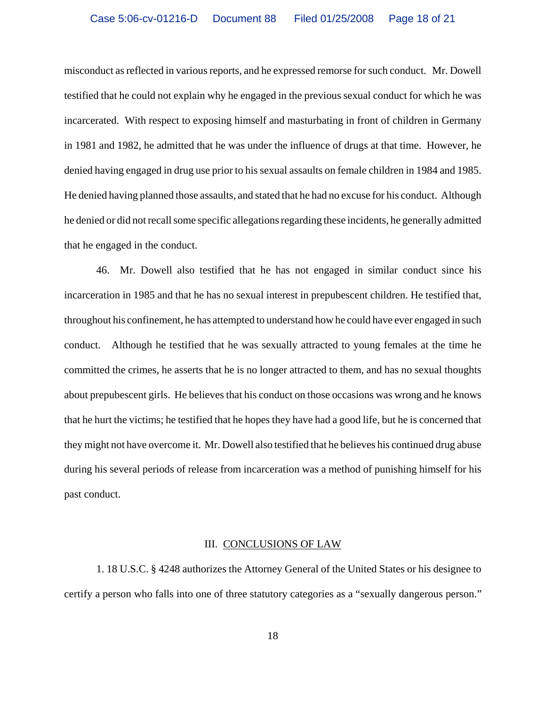misconduct as reflected in various reports, and he expressed remorse for such conduct. Mr. Dowell testified that he could not explain why he engaged in the previous sexual conduct for which he was incarcerated. With respect to exposing himself and masturbating in front of children in Germany in 1981 and 1982, he admitted that he was under the influence of drugs at that time. However, he denied having engaged in drug use prior to his sexual assaults on female children in 1984 and 1985. He denied having planned those assaults, and stated that he had no excuse for his conduct. Although he denied or did not recall some specific allegations regarding these incidents, he generally admitted that he engaged in the conduct.

46. Mr. Dowell also testified that he has not engaged in similar conduct since his incarceration in 1985 and that he has no sexual interest in prepubescent children. He testified that, throughout his confinement, he has attempted to understand how he could have ever engaged in such conduct. Although he testified that he was sexually attracted to young females at the time he committed the crimes, he asserts that he is no longer attracted to them, and has no sexual thoughts about prepubescent girls. He believes that his conduct on those occasions was wrong and he knows that he hurt the victims; he testified that he hopes they have had a good life, but he is concerned that they might not have overcome it. Mr. Dowell also testified that he believes his continued drug abuse during his several periods of release from incarceration was a method of punishing himself for his past conduct.

### III. CONCLUSIONS OF LAW

1. 18 U.S.C. § 4248 authorizes the Attorney General of the United States or his designee to certify a person who falls into one of three statutory categories as a "sexually dangerous person."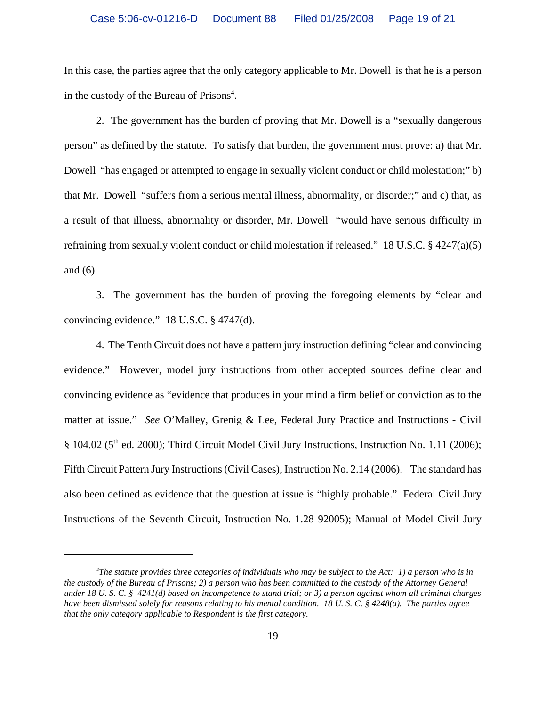In this case, the parties agree that the only category applicable to Mr. Dowell is that he is a person in the custody of the Bureau of Prisons<sup>4</sup>.

2. The government has the burden of proving that Mr. Dowell is a "sexually dangerous person" as defined by the statute. To satisfy that burden, the government must prove: a) that Mr. Dowell "has engaged or attempted to engage in sexually violent conduct or child molestation;" b) that Mr. Dowell "suffers from a serious mental illness, abnormality, or disorder;" and c) that, as a result of that illness, abnormality or disorder, Mr. Dowell "would have serious difficulty in refraining from sexually violent conduct or child molestation if released." 18 U.S.C. § 4247(a)(5) and (6).

3. The government has the burden of proving the foregoing elements by "clear and convincing evidence." 18 U.S.C. § 4747(d).

4. The Tenth Circuit does not have a pattern jury instruction defining "clear and convincing evidence." However, model jury instructions from other accepted sources define clear and convincing evidence as "evidence that produces in your mind a firm belief or conviction as to the matter at issue." *See* O'Malley, Grenig & Lee, Federal Jury Practice and Instructions - Civil § 104.02 (5<sup>th</sup> ed. 2000); Third Circuit Model Civil Jury Instructions, Instruction No. 1.11 (2006); Fifth Circuit Pattern Jury Instructions (Civil Cases), Instruction No. 2.14 (2006). The standard has also been defined as evidence that the question at issue is "highly probable." Federal Civil Jury Instructions of the Seventh Circuit, Instruction No. 1.28 92005); Manual of Model Civil Jury

*<sup>4</sup> The statute provides three categories of individuals who may be subject to the Act: 1) a person who is in the custody of the Bureau of Prisons; 2) a person who has been committed to the custody of the Attorney General under 18 U. S. C. § 4241(d) based on incompetence to stand trial; or 3) a person against whom all criminal charges have been dismissed solely for reasons relating to his mental condition. 18 U. S. C. § 4248(a). The parties agree that the only category applicable to Respondent is the first category.*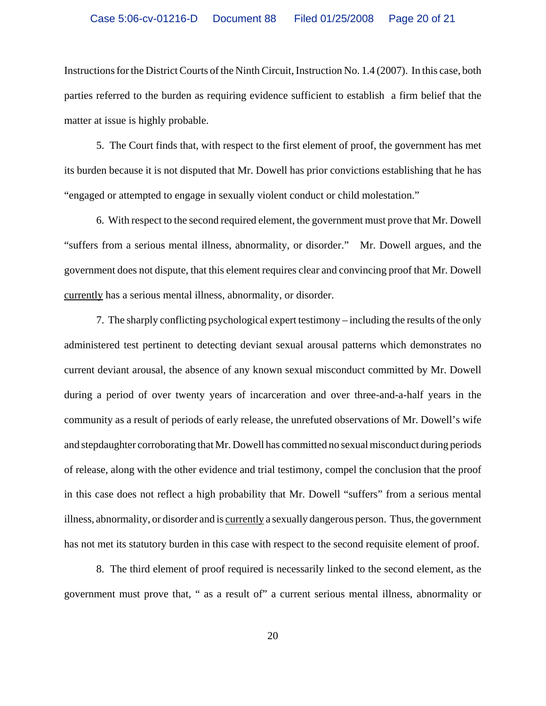Instructions for the District Courts of the Ninth Circuit, Instruction No. 1.4 (2007). In this case, both parties referred to the burden as requiring evidence sufficient to establish a firm belief that the matter at issue is highly probable.

5. The Court finds that, with respect to the first element of proof, the government has met its burden because it is not disputed that Mr. Dowell has prior convictions establishing that he has "engaged or attempted to engage in sexually violent conduct or child molestation."

6. With respect to the second required element, the government must prove that Mr. Dowell "suffers from a serious mental illness, abnormality, or disorder." Mr. Dowell argues, and the government does not dispute, that this element requires clear and convincing proof that Mr. Dowell currently has a serious mental illness, abnormality, or disorder.

7. The sharply conflicting psychological expert testimony – including the results of the only administered test pertinent to detecting deviant sexual arousal patterns which demonstrates no current deviant arousal, the absence of any known sexual misconduct committed by Mr. Dowell during a period of over twenty years of incarceration and over three-and-a-half years in the community as a result of periods of early release, the unrefuted observations of Mr. Dowell's wife and stepdaughter corroborating that Mr. Dowell has committed no sexual misconduct during periods of release, along with the other evidence and trial testimony, compel the conclusion that the proof in this case does not reflect a high probability that Mr. Dowell "suffers" from a serious mental illness, abnormality, or disorder and is currently a sexually dangerous person. Thus, the government has not met its statutory burden in this case with respect to the second requisite element of proof.

8. The third element of proof required is necessarily linked to the second element, as the government must prove that, " as a result of" a current serious mental illness, abnormality or